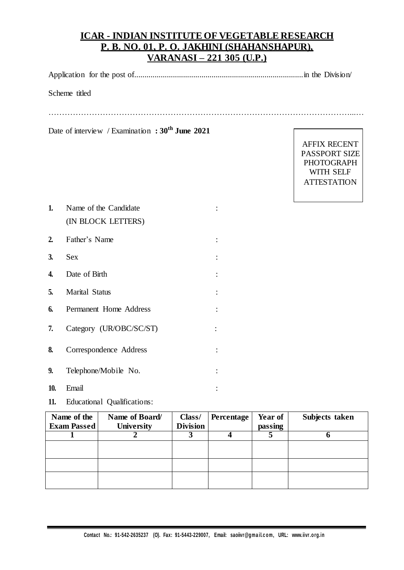## **ICAR - INDIAN INSTITUTE OF VEGETABLE RESEARCH P. B. NO. 01, P. O. JAKHINI (SHAHANSHAPUR), VARANASI – 221 305 (U.P.)**

Application for the post of...................................................................................in the Division/

Scheme titled

…………………………………………………………………………………………………...…

Date of interview / Examination **: 30th June 2021**

AFFIX RECENT PASSPORT SIZE PHOTOGRAPH WITH SELF **ATTESTATION** 

| 1.  | Name of the Candidate   |                |
|-----|-------------------------|----------------|
|     | (IN BLOCK LETTERS)      |                |
| 2.  | Father's Name           |                |
| 3.  | <b>Sex</b>              | $\ddot{\cdot}$ |
| 4.  | Date of Birth           | $\ddot{\cdot}$ |
| 5.  | <b>Marital Status</b>   | $\ddot{\cdot}$ |
| 6.  | Permanent Home Address  |                |
| 7.  | Category (UR/OBC/SC/ST) |                |
| 8.  | Correspondence Address  |                |
| 9.  | Telephone/Mobile No.    |                |
| 10. | Email                   |                |

**11.** Educational Qualifications:

| Name of the<br><b>Exam Passed</b> | Name of Board/<br>University | Class/<br><b>Division</b> | Percentage | <b>Year of</b> | Subjects taken |
|-----------------------------------|------------------------------|---------------------------|------------|----------------|----------------|
|                                   |                              |                           |            | passing        |                |
|                                   |                              |                           |            |                |                |
|                                   |                              |                           |            |                |                |
|                                   |                              |                           |            |                |                |
|                                   |                              |                           |            |                |                |
|                                   |                              |                           |            |                |                |
|                                   |                              |                           |            |                |                |
|                                   |                              |                           |            |                |                |